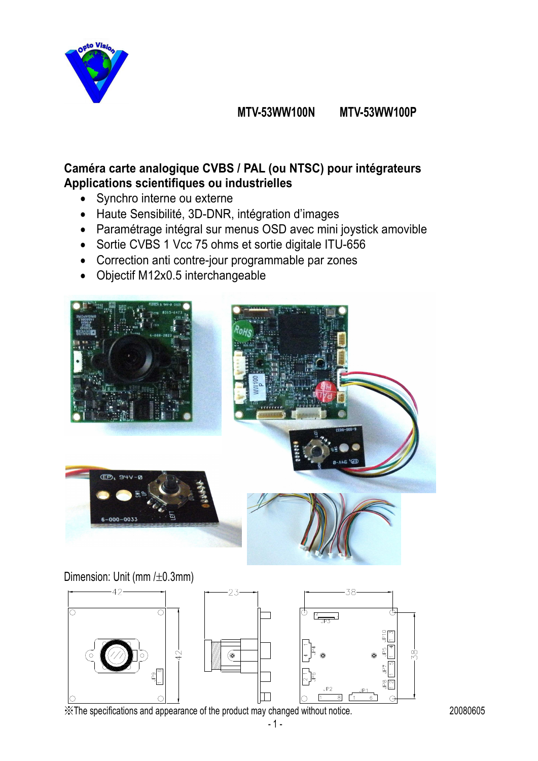

## **MTV-53WW100N MTV-53WW100P**

## **Caméra carte analogique CVBS / PAL (ou NTSC) pour intégrateurs Applications scientifiques ou industrielles**

- Synchro interne ou externe
- Haute Sensibilité, 3D-DNR, intégration d'images
- Paramétrage intégral sur menus OSD avec mini joystick amovible
- Sortie CVBS 1 Vcc 75 ohms et sortie digitale ITU-656
- Correction anti contre-jour programmable par zones
- Objectif M12x0.5 interchangeable



Dimension: Unit (mm  $/\pm 0.3$ mm)



※The specifications and appearance of the product may changed without notice. 20080605